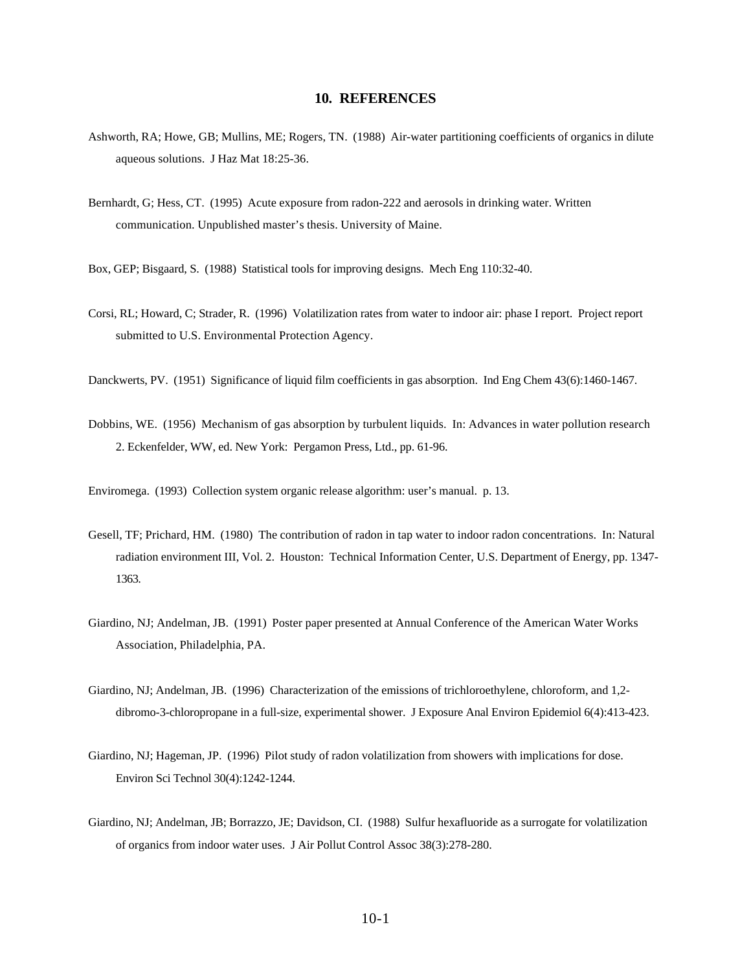## **10. REFERENCES**

- Ashworth, RA; Howe, GB; Mullins, ME; Rogers, TN. (1988) Air-water partitioning coefficients of organics in dilute aqueous solutions. J Haz Mat 18:25-36.
- Bernhardt, G; Hess, CT. (1995) Acute exposure from radon-222 and aerosols in drinking water. Written communication. Unpublished master's thesis. University of Maine.

Box, GEP; Bisgaard, S. (1988) Statistical tools for improving designs. Mech Eng 110:32-40.

- Corsi, RL; Howard, C; Strader, R. (1996) Volatilization rates from water to indoor air: phase I report. Project report submitted to U.S. Environmental Protection Agency.
- Danckwerts, PV. (1951) Significance of liquid film coefficients in gas absorption. Ind Eng Chem 43(6):1460-1467.
- Dobbins, WE. (1956) Mechanism of gas absorption by turbulent liquids. In: Advances in water pollution research 2. Eckenfelder, WW, ed. New York: Pergamon Press, Ltd., pp. 61-96.

Enviromega. (1993) Collection system organic release algorithm: user's manual. p. 13.

- Gesell, TF; Prichard, HM. (1980) The contribution of radon in tap water to indoor radon concentrations. In: Natural radiation environment III, Vol. 2. Houston: Technical Information Center, U.S. Department of Energy, pp. 1347- 1363.
- Giardino, NJ; Andelman, JB. (1991) Poster paper presented at Annual Conference of the American Water Works Association, Philadelphia, PA.
- Giardino, NJ; Andelman, JB. (1996) Characterization of the emissions of trichloroethylene, chloroform, and 1,2 dibromo-3-chloropropane in a full-size, experimental shower. J Exposure Anal Environ Epidemiol 6(4):413-423.
- Giardino, NJ; Hageman, JP. (1996) Pilot study of radon volatilization from showers with implications for dose. Environ Sci Technol 30(4):1242-1244.
- Giardino, NJ; Andelman, JB; Borrazzo, JE; Davidson, CI. (1988) Sulfur hexafluoride as a surrogate for volatilization of organics from indoor water uses. J Air Pollut Control Assoc 38(3):278-280.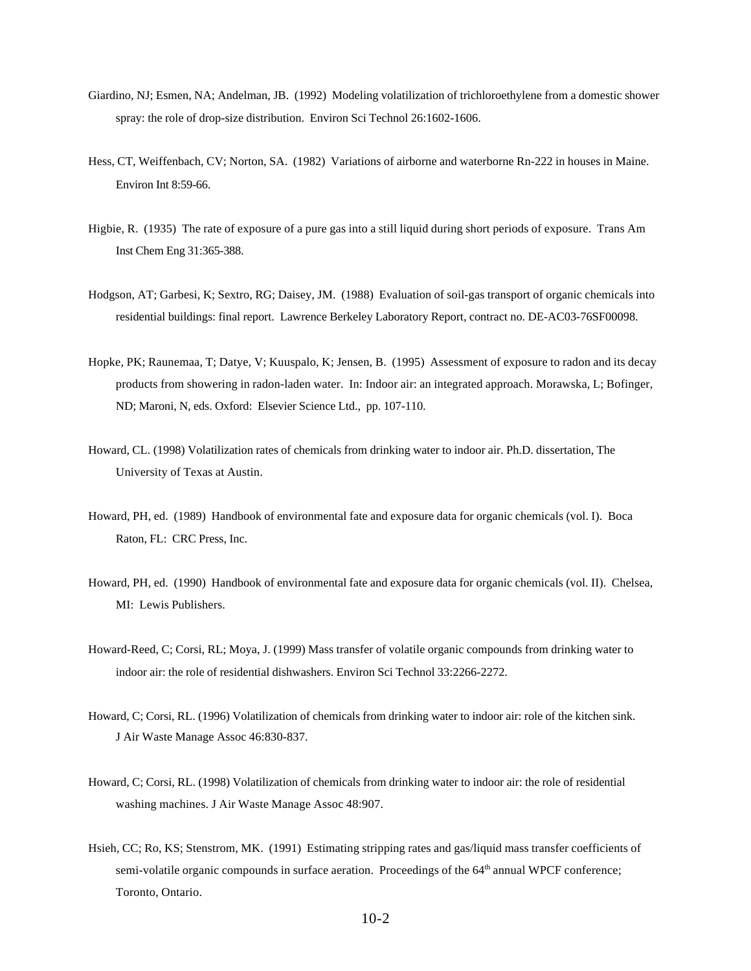- Giardino, NJ; Esmen, NA; Andelman, JB. (1992) Modeling volatilization of trichloroethylene from a domestic shower spray: the role of drop-size distribution. Environ Sci Technol 26:1602-1606.
- Hess, CT, Weiffenbach, CV; Norton, SA. (1982) Variations of airborne and waterborne Rn-222 in houses in Maine. Environ Int 8:59-66.
- Higbie, R. (1935) The rate of exposure of a pure gas into a still liquid during short periods of exposure. Trans Am Inst Chem Eng 31:365-388.
- Hodgson, AT; Garbesi, K; Sextro, RG; Daisey, JM. (1988) Evaluation of soil-gas transport of organic chemicals into residential buildings: final report. Lawrence Berkeley Laboratory Report, contract no. DE-AC03-76SF00098.
- Hopke, PK; Raunemaa, T; Datye, V; Kuuspalo, K; Jensen, B. (1995) Assessment of exposure to radon and its decay products from showering in radon-laden water. In: Indoor air: an integrated approach. Morawska, L; Bofinger, ND; Maroni, N, eds. Oxford: Elsevier Science Ltd., pp. 107-110.
- Howard, CL. (1998) Volatilization rates of chemicals from drinking water to indoor air. Ph.D. dissertation, The University of Texas at Austin.
- Howard, PH, ed. (1989) Handbook of environmental fate and exposure data for organic chemicals (vol. I). Boca Raton, FL: CRC Press, Inc.
- Howard, PH, ed. (1990) Handbook of environmental fate and exposure data for organic chemicals (vol. II). Chelsea, MI: Lewis Publishers.
- Howard-Reed, C; Corsi, RL; Moya, J. (1999) Mass transfer of volatile organic compounds from drinking water to indoor air: the role of residential dishwashers. Environ Sci Technol 33:2266-2272.
- Howard, C; Corsi, RL. (1996) Volatilization of chemicals from drinking water to indoor air: role of the kitchen sink. J Air Waste Manage Assoc 46:830-837.
- Howard, C; Corsi, RL. (1998) Volatilization of chemicals from drinking water to indoor air: the role of residential washing machines. J Air Waste Manage Assoc 48:907.
- Hsieh, CC; Ro, KS; Stenstrom, MK. (1991) Estimating stripping rates and gas/liquid mass transfer coefficients of semi-volatile organic compounds in surface aeration. Proceedings of the 64<sup>th</sup> annual WPCF conference; Toronto, Ontario.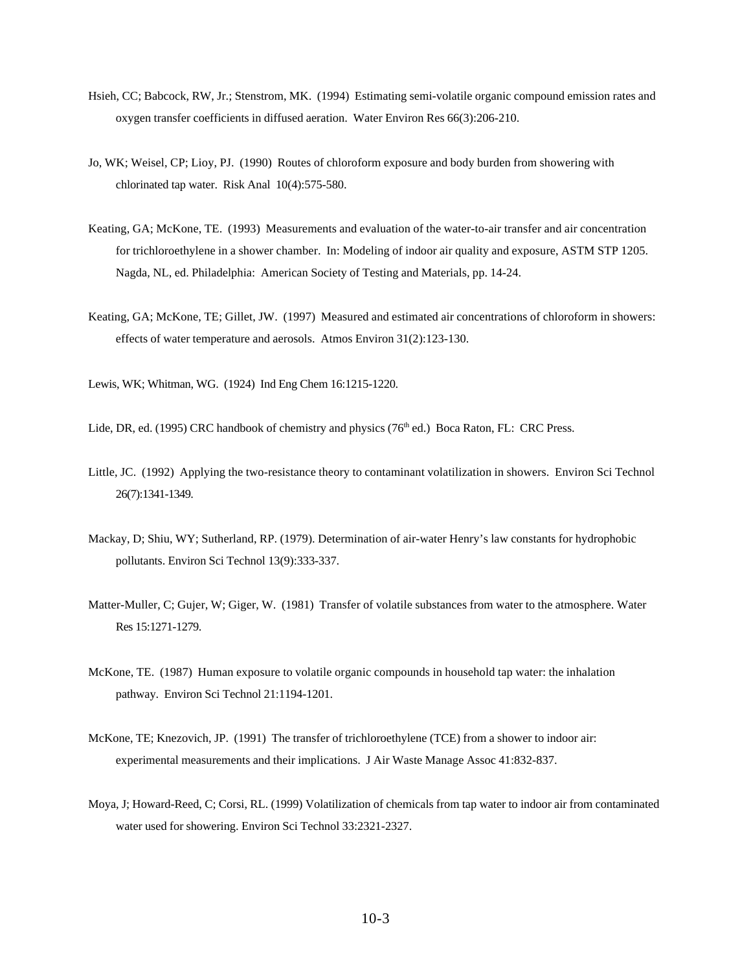- Hsieh, CC; Babcock, RW, Jr.; Stenstrom, MK. (1994) Estimating semi-volatile organic compound emission rates and oxygen transfer coefficients in diffused aeration. Water Environ Res 66(3):206-210.
- Jo, WK; Weisel, CP; Lioy, PJ. (1990) Routes of chloroform exposure and body burden from showering with chlorinated tap water. Risk Anal 10(4):575-580.
- Keating, GA; McKone, TE. (1993) Measurements and evaluation of the water-to-air transfer and air concentration for trichloroethylene in a shower chamber. In: Modeling of indoor air quality and exposure, ASTM STP 1205. Nagda, NL, ed. Philadelphia: American Society of Testing and Materials, pp. 14-24.
- Keating, GA; McKone, TE; Gillet, JW. (1997) Measured and estimated air concentrations of chloroform in showers: effects of water temperature and aerosols. Atmos Environ 31(2):123-130.

Lewis, WK; Whitman, WG. (1924) Ind Eng Chem 16:1215-1220.

Lide, DR, ed. (1995) CRC handbook of chemistry and physics ( $76<sup>th</sup>$  ed.) Boca Raton, FL: CRC Press.

- Little, JC. (1992) Applying the two-resistance theory to contaminant volatilization in showers. Environ Sci Technol 26(7):1341-1349.
- Mackay, D; Shiu, WY; Sutherland, RP. (1979). Determination of air-water Henry's law constants for hydrophobic pollutants. Environ Sci Technol 13(9):333-337.
- Matter-Muller, C; Gujer, W; Giger, W. (1981) Transfer of volatile substances from water to the atmosphere. Water Res 15:1271-1279.
- McKone, TE. (1987) Human exposure to volatile organic compounds in household tap water: the inhalation pathway. Environ Sci Technol 21:1194-1201.
- McKone, TE; Knezovich, JP. (1991) The transfer of trichloroethylene (TCE) from a shower to indoor air: experimental measurements and their implications. J Air Waste Manage Assoc 41:832-837.
- Moya, J; Howard-Reed, C; Corsi, RL. (1999) Volatilization of chemicals from tap water to indoor air from contaminated water used for showering. Environ Sci Technol 33:2321-2327.